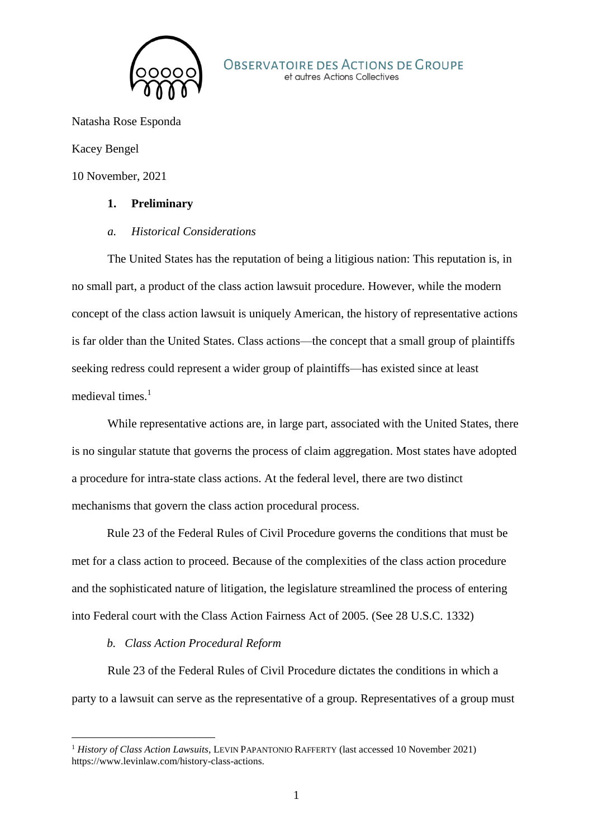

Natasha Rose Esponda

Kacey Bengel

10 November, 2021

### **1. Preliminary**

#### *a. Historical Considerations*

The United States has the reputation of being a litigious nation: This reputation is, in no small part, a product of the class action lawsuit procedure. However, while the modern concept of the class action lawsuit is uniquely American, the history of representative actions is far older than the United States. Class actions—the concept that a small group of plaintiffs seeking redress could represent a wider group of plaintiffs—has existed since at least medieval times. $<sup>1</sup>$ </sup>

While representative actions are, in large part, associated with the United States, there is no singular statute that governs the process of claim aggregation. Most states have adopted a procedure for intra-state class actions. At the federal level, there are two distinct mechanisms that govern the class action procedural process.

Rule 23 of the Federal Rules of Civil Procedure governs the conditions that must be met for a class action to proceed. Because of the complexities of the class action procedure and the sophisticated nature of litigation, the legislature streamlined the process of entering into Federal court with the Class Action Fairness Act of 2005. (See 28 U.S.C. 1332)

# *b. Class Action Procedural Reform*

-

Rule 23 of the Federal Rules of Civil Procedure dictates the conditions in which a party to a lawsuit can serve as the representative of a group. Representatives of a group must

<sup>1</sup> *History of Class Action Lawsuits*, LEVIN PAPANTONIO RAFFERTY (last accessed 10 November 2021) https://www.levinlaw.com/history-class-actions.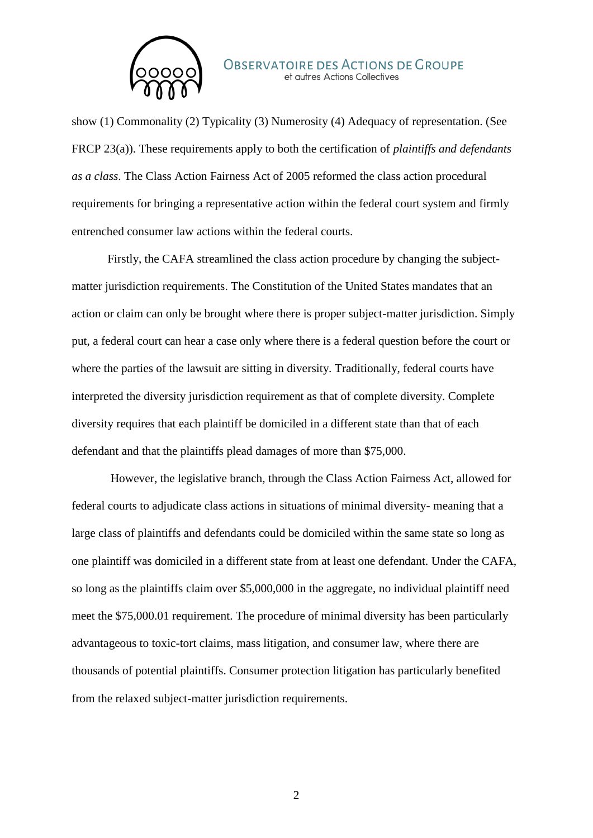

show (1) Commonality (2) Typicality (3) Numerosity (4) Adequacy of representation. (See FRCP 23(a)). These requirements apply to both the certification of *plaintiffs and defendants as a class*. The Class Action Fairness Act of 2005 reformed the class action procedural requirements for bringing a representative action within the federal court system and firmly entrenched consumer law actions within the federal courts.

Firstly, the CAFA streamlined the class action procedure by changing the subjectmatter jurisdiction requirements. The Constitution of the United States mandates that an action or claim can only be brought where there is proper subject-matter jurisdiction. Simply put, a federal court can hear a case only where there is a federal question before the court or where the parties of the lawsuit are sitting in diversity. Traditionally, federal courts have interpreted the diversity jurisdiction requirement as that of complete diversity. Complete diversity requires that each plaintiff be domiciled in a different state than that of each defendant and that the plaintiffs plead damages of more than \$75,000.

However, the legislative branch, through the Class Action Fairness Act, allowed for federal courts to adjudicate class actions in situations of minimal diversity- meaning that a large class of plaintiffs and defendants could be domiciled within the same state so long as one plaintiff was domiciled in a different state from at least one defendant. Under the CAFA, so long as the plaintiffs claim over \$5,000,000 in the aggregate, no individual plaintiff need meet the \$75,000.01 requirement. The procedure of minimal diversity has been particularly advantageous to toxic-tort claims, mass litigation, and consumer law, where there are thousands of potential plaintiffs. Consumer protection litigation has particularly benefited from the relaxed subject-matter jurisdiction requirements.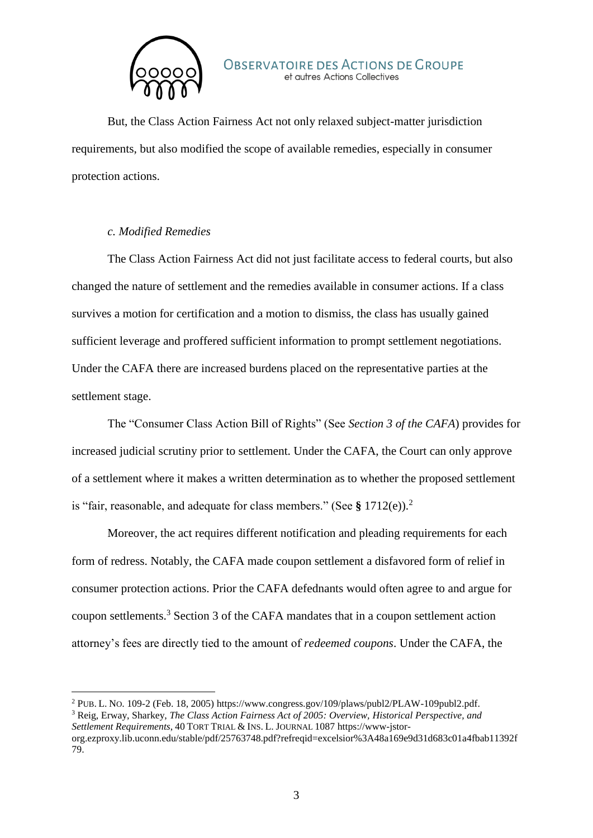

But, the Class Action Fairness Act not only relaxed subject-matter jurisdiction requirements, but also modified the scope of available remedies, especially in consumer protection actions.

# *c. Modified Remedies*

-

The Class Action Fairness Act did not just facilitate access to federal courts, but also changed the nature of settlement and the remedies available in consumer actions. If a class survives a motion for certification and a motion to dismiss, the class has usually gained sufficient leverage and proffered sufficient information to prompt settlement negotiations. Under the CAFA there are increased burdens placed on the representative parties at the settlement stage.

The "Consumer Class Action Bill of Rights" (See *Section 3 of the CAFA*) provides for increased judicial scrutiny prior to settlement. Under the CAFA, the Court can only approve of a settlement where it makes a written determination as to whether the proposed settlement is "fair, reasonable, and adequate for class members." (See **§** 1712(e)).<sup>2</sup>

Moreover, the act requires different notification and pleading requirements for each form of redress. Notably, the CAFA made coupon settlement a disfavored form of relief in consumer protection actions. Prior the CAFA defednants would often agree to and argue for coupon settlements.<sup>3</sup> Section 3 of the CAFA mandates that in a coupon settlement action attorney's fees are directly tied to the amount of *redeemed coupons*. Under the CAFA, the

<sup>2</sup> PUB. L. NO. 109-2 (Feb. 18, 2005) https://www.congress.gov/109/plaws/publ2/PLAW-109publ2.pdf. <sup>3</sup> Reig, Erway, Sharkey, *The Class Action Fairness Act of 2005: Overview, Historical Perspective, and Settlement Requirements*, 40 TORT TRIAL & INS. L. JOURNAL 1087 https://www-jstor-

org.ezproxy.lib.uconn.edu/stable/pdf/25763748.pdf?refreqid=excelsior%3A48a169e9d31d683c01a4fbab11392f 79.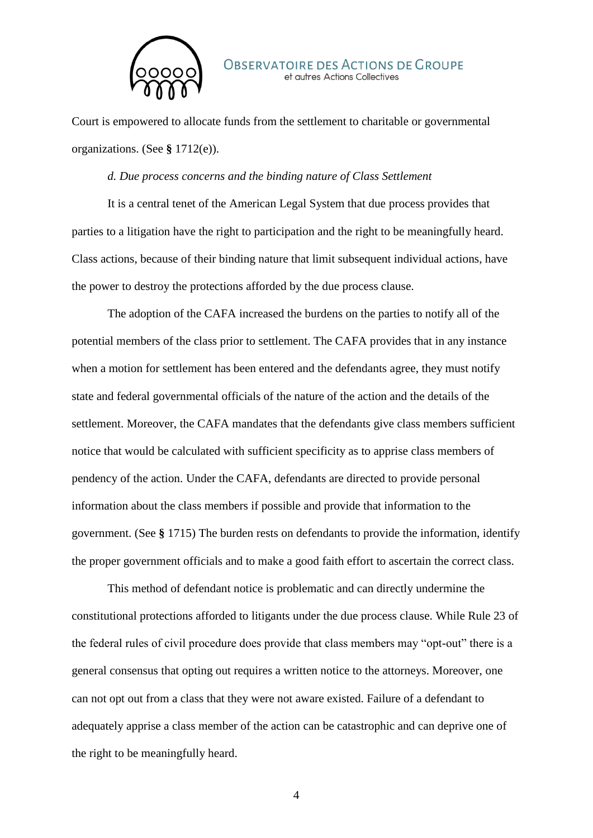

Court is empowered to allocate funds from the settlement to charitable or governmental organizations. (See **§** 1712(e)).

#### *d. Due process concerns and the binding nature of Class Settlement*

It is a central tenet of the American Legal System that due process provides that parties to a litigation have the right to participation and the right to be meaningfully heard. Class actions, because of their binding nature that limit subsequent individual actions, have the power to destroy the protections afforded by the due process clause.

The adoption of the CAFA increased the burdens on the parties to notify all of the potential members of the class prior to settlement. The CAFA provides that in any instance when a motion for settlement has been entered and the defendants agree, they must notify state and federal governmental officials of the nature of the action and the details of the settlement. Moreover, the CAFA mandates that the defendants give class members sufficient notice that would be calculated with sufficient specificity as to apprise class members of pendency of the action. Under the CAFA, defendants are directed to provide personal information about the class members if possible and provide that information to the government. (See **§** 1715) The burden rests on defendants to provide the information, identify the proper government officials and to make a good faith effort to ascertain the correct class.

This method of defendant notice is problematic and can directly undermine the constitutional protections afforded to litigants under the due process clause. While Rule 23 of the federal rules of civil procedure does provide that class members may "opt-out" there is a general consensus that opting out requires a written notice to the attorneys. Moreover, one can not opt out from a class that they were not aware existed. Failure of a defendant to adequately apprise a class member of the action can be catastrophic and can deprive one of the right to be meaningfully heard.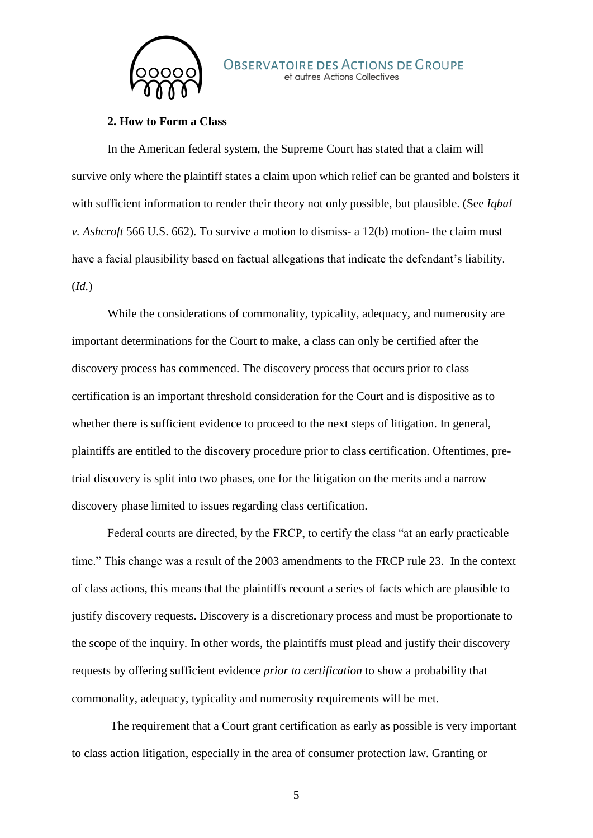

#### **2. How to Form a Class**

In the American federal system, the Supreme Court has stated that a claim will survive only where the plaintiff states a claim upon which relief can be granted and bolsters it with sufficient information to render their theory not only possible, but plausible. (See *Iqbal v. Ashcroft* 566 U.S. 662). To survive a motion to dismiss- a 12(b) motion- the claim must have a facial plausibility based on factual allegations that indicate the defendant's liability. (*Id.*)

While the considerations of commonality, typicality, adequacy, and numerosity are important determinations for the Court to make, a class can only be certified after the discovery process has commenced. The discovery process that occurs prior to class certification is an important threshold consideration for the Court and is dispositive as to whether there is sufficient evidence to proceed to the next steps of litigation. In general, plaintiffs are entitled to the discovery procedure prior to class certification. Oftentimes, pretrial discovery is split into two phases, one for the litigation on the merits and a narrow discovery phase limited to issues regarding class certification.

Federal courts are directed, by the FRCP, to certify the class "at an early practicable time." This change was a result of the 2003 amendments to the FRCP rule 23. In the context of class actions, this means that the plaintiffs recount a series of facts which are plausible to justify discovery requests. Discovery is a discretionary process and must be proportionate to the scope of the inquiry. In other words, the plaintiffs must plead and justify their discovery requests by offering sufficient evidence *prior to certification* to show a probability that commonality, adequacy, typicality and numerosity requirements will be met.

The requirement that a Court grant certification as early as possible is very important to class action litigation, especially in the area of consumer protection law. Granting or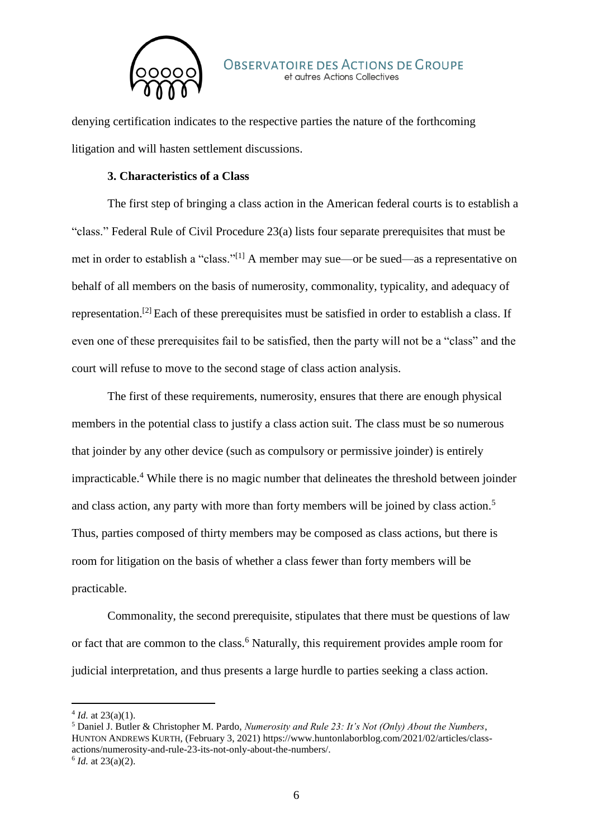

denying certification indicates to the respective parties the nature of the forthcoming litigation and will hasten settlement discussions.

# **3. Characteristics of a Class**

The first step of bringing a class action in the American federal courts is to establish a "class." Federal Rule of Civil Procedure 23(a) lists four separate prerequisites that must be met in order to establish a "class."[1] A member may sue—or be sued—as a representative on behalf of all members on the basis of numerosity, commonality, typicality, and adequacy of representation.[2] Each of these prerequisites must be satisfied in order to establish a class. If even one of these prerequisites fail to be satisfied, then the party will not be a "class" and the court will refuse to move to the second stage of class action analysis.

The first of these requirements, numerosity, ensures that there are enough physical members in the potential class to justify a class action suit. The class must be so numerous that joinder by any other device (such as compulsory or permissive joinder) is entirely impracticable.<sup>4</sup> While there is no magic number that delineates the threshold between joinder and class action, any party with more than forty members will be joined by class action.<sup>5</sup> Thus, parties composed of thirty members may be composed as class actions, but there is room for litigation on the basis of whether a class fewer than forty members will be practicable.

Commonality, the second prerequisite, stipulates that there must be questions of law or fact that are common to the class.<sup>6</sup> Naturally, this requirement provides ample room for judicial interpretation, and thus presents a large hurdle to parties seeking a class action.

-

 $4$  *Id.* at 23(a)(1).

<sup>5</sup> Daniel J. Butler & Christopher M. Pardo, *Numerosity and Rule 23: It's Not (Only) About the Numbers*, HUNTON ANDREWS KURTH, (February 3, 2021) https://www.huntonlaborblog.com/2021/02/articles/classactions/numerosity-and-rule-23-its-not-only-about-the-numbers/.  $6$  *Id.* at 23(a)(2).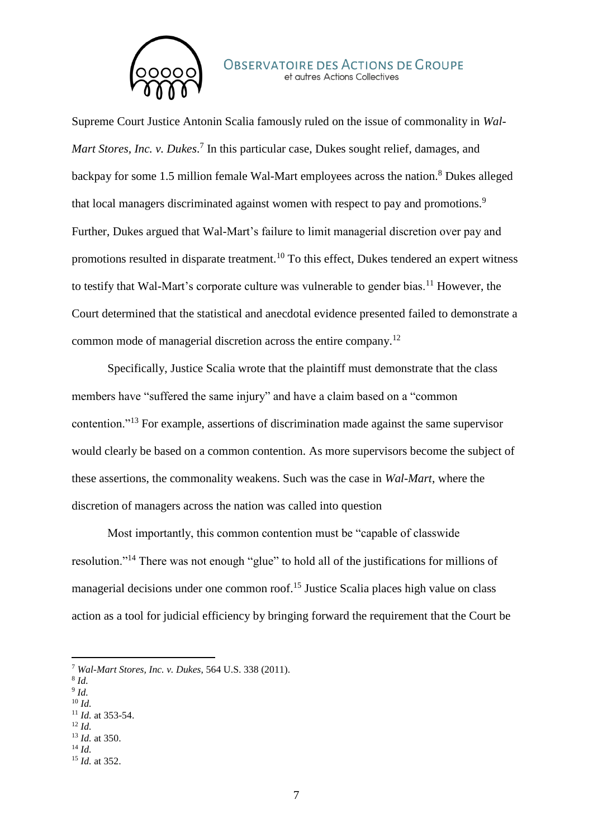

Supreme Court Justice Antonin Scalia famously ruled on the issue of commonality in *Wal-*Mart Stores, Inc. v. Dukes.<sup>7</sup> In this particular case, Dukes sought relief, damages, and backpay for some 1.5 million female Wal-Mart employees across the nation.<sup>8</sup> Dukes alleged that local managers discriminated against women with respect to pay and promotions.<sup>9</sup> Further, Dukes argued that Wal-Mart's failure to limit managerial discretion over pay and promotions resulted in disparate treatment.<sup>10</sup> To this effect, Dukes tendered an expert witness to testify that Wal-Mart's corporate culture was vulnerable to gender bias.<sup>11</sup> However, the Court determined that the statistical and anecdotal evidence presented failed to demonstrate a common mode of managerial discretion across the entire company.<sup>12</sup>

Specifically, Justice Scalia wrote that the plaintiff must demonstrate that the class members have "suffered the same injury" and have a claim based on a "common contention."<sup>13</sup> For example, assertions of discrimination made against the same supervisor would clearly be based on a common contention. As more supervisors become the subject of these assertions, the commonality weakens. Such was the case in *Wal-Mart*, where the discretion of managers across the nation was called into question

Most importantly, this common contention must be "capable of classwide resolution."<sup>14</sup> There was not enough "glue" to hold all of the justifications for millions of managerial decisions under one common roof.<sup>15</sup> Justice Scalia places high value on class action as a tool for judicial efficiency by bringing forward the requirement that the Court be

8 *Id.*

-

- 9 *Id.* <sup>10</sup> *Id.*
- <sup>11</sup> *Id.* at 353-54.
- <sup>12</sup> *Id.*
- <sup>13</sup> *Id.* at 350.
- <sup>14</sup> *Id.*
- <sup>15</sup> *Id.* at 352.

<sup>7</sup> *Wal-Mart Stores, Inc. v. Dukes*, 564 U.S. 338 (2011).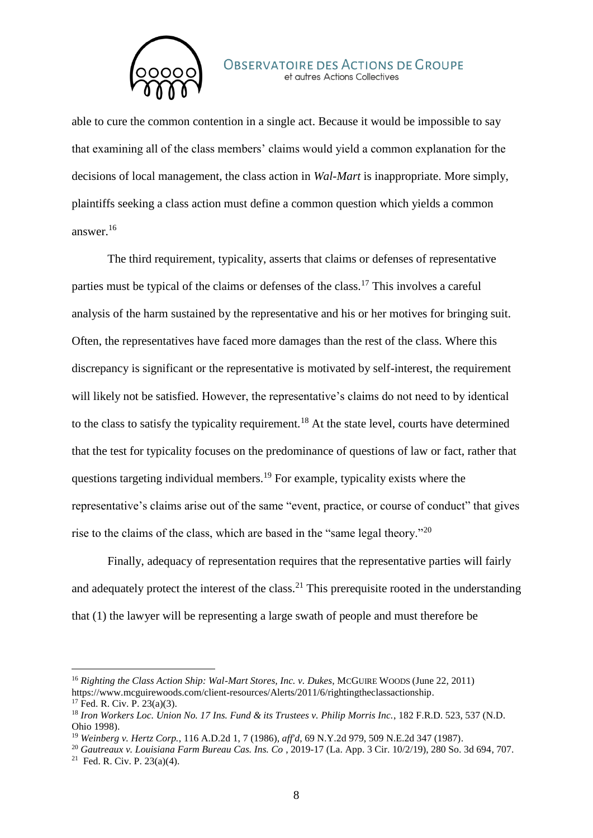

able to cure the common contention in a single act. Because it would be impossible to say that examining all of the class members' claims would yield a common explanation for the decisions of local management, the class action in *Wal-Mart* is inappropriate. More simply, plaintiffs seeking a class action must define a common question which yields a common answer.<sup>16</sup>

The third requirement, typicality, asserts that claims or defenses of representative parties must be typical of the claims or defenses of the class.<sup>17</sup> This involves a careful analysis of the harm sustained by the representative and his or her motives for bringing suit. Often, the representatives have faced more damages than the rest of the class. Where this discrepancy is significant or the representative is motivated by self-interest, the requirement will likely not be satisfied. However, the representative's claims do not need to by identical to the class to satisfy the typicality requirement.<sup>18</sup> At the state level, courts have determined that the test for typicality focuses on the predominance of questions of law or fact, rather that questions targeting individual members.<sup>19</sup> For example, typicality exists where the representative's claims arise out of the same "event, practice, or course of conduct" that gives rise to the claims of the class, which are based in the "same legal theory."<sup>20</sup>

Finally, adequacy of representation requires that the representative parties will fairly and adequately protect the interest of the class.<sup>21</sup> This prerequisite rooted in the understanding that (1) the lawyer will be representing a large swath of people and must therefore be

-

<sup>16</sup> *Righting the Class Action Ship: Wal-Mart Stores, Inc. v. Dukes*, MCGUIRE WOODS (June 22, 2011) https://www.mcguirewoods.com/client-resources/Alerts/2011/6/rightingtheclassactionship.

 $17$  Fed. R. Civ. P. 23(a)(3).

<sup>18</sup> *Iron Workers Loc. Union No. 17 Ins. Fund & its Trustees v. Philip Morris Inc.*, 182 F.R.D. 523, 537 (N.D. Ohio 1998).

<sup>19</sup> *Weinberg v. Hertz Corp.*, 116 A.D.2d 1, 7 (1986), *aff'd*, 69 N.Y.2d 979, 509 N.E.2d 347 (1987).

<sup>20</sup> *Gautreaux v. Louisiana Farm Bureau Cas. Ins. Co* , 2019-17 (La. App. 3 Cir. 10/2/19), 280 So. 3d 694, 707. <sup>21</sup> Fed. R. Civ. P.  $23(a)(4)$ .